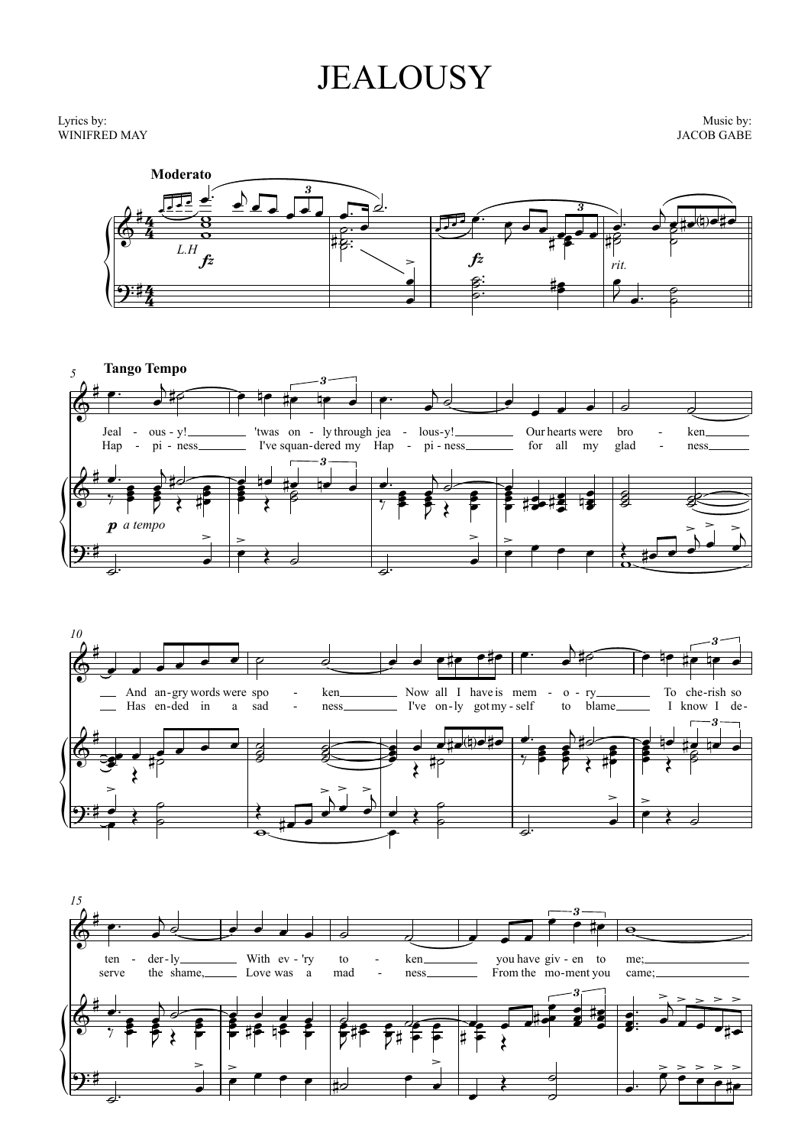## **JEALOUSY**

## Lyrics by: WINIFRED MAY

Music by: **JACOB GABE** 







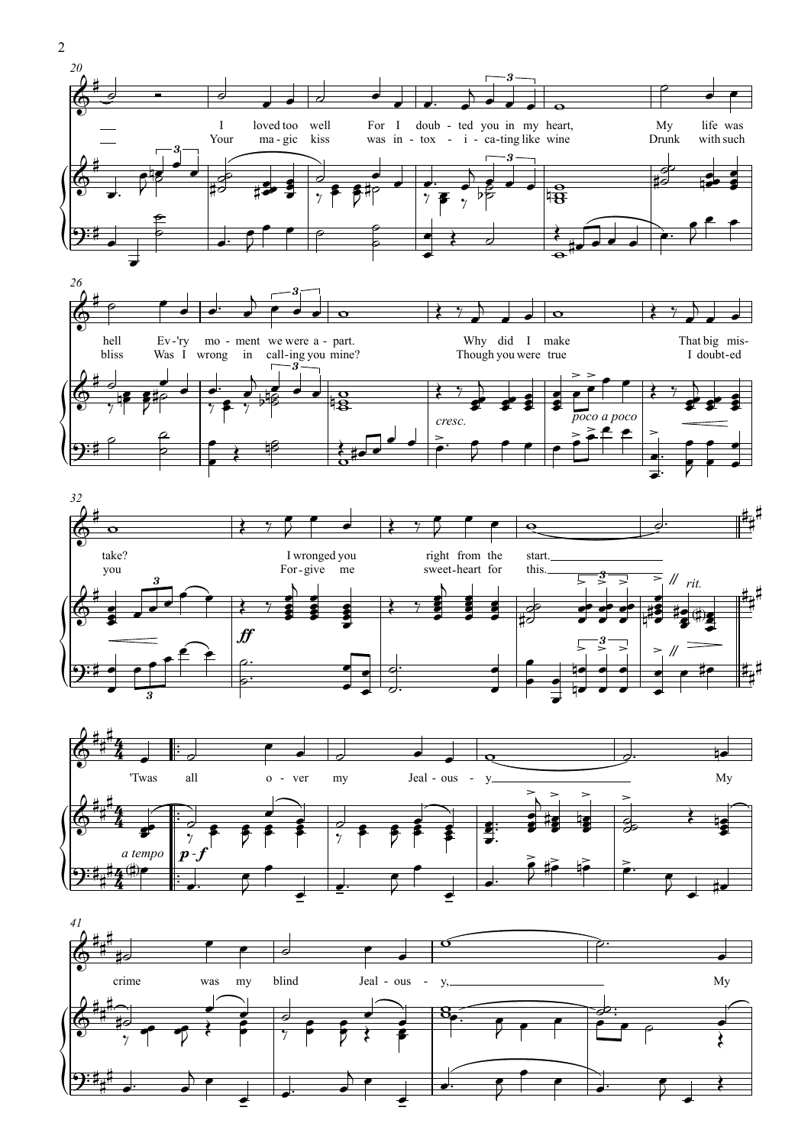







 $\overline{2}$